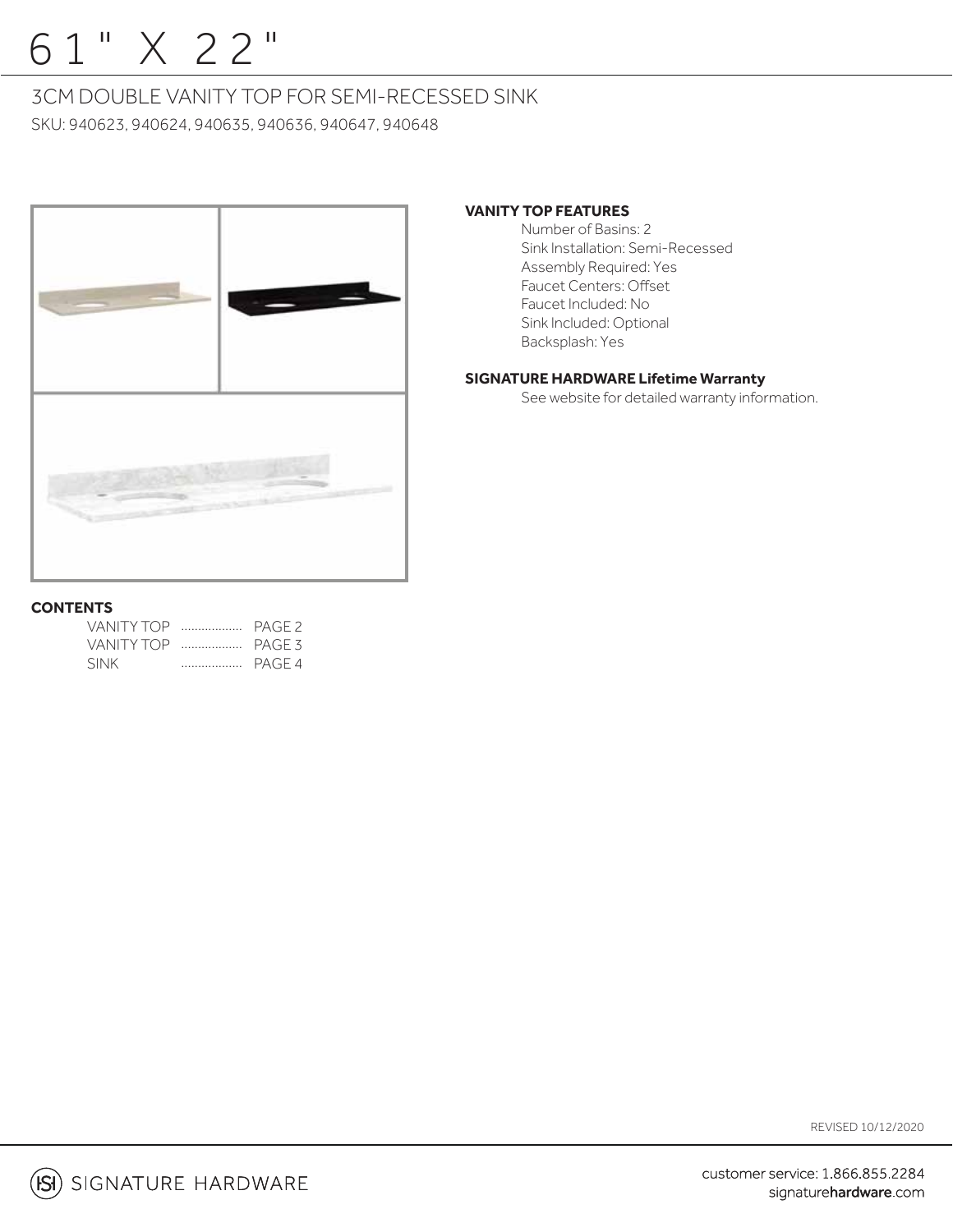# 61" X 22"

### 3CM DOUBLE VANITY TOP FOR SEMI-RECESSED SINK

SKU: 940623, 940624, 940635, 940636, 940647, 940648



### **VANITY TOP FEATURES**

 Number of Basins: 2 Sink Installation: Semi-Recessed Assembly Required: Yes Faucet Centers: Offset Faucet Included: No Sink Included: Optional Backsplash: Yes

### **SIGNATURE HARDWARE Lifetime Warranty**

See website for detailed warranty information.

### **CONTENTS**

| VANITY TOP  PAGE 2 |  |
|--------------------|--|
| VANITY TOP  PAGE 3 |  |
| <b>SINK</b>        |  |

REVISED 10/12/2020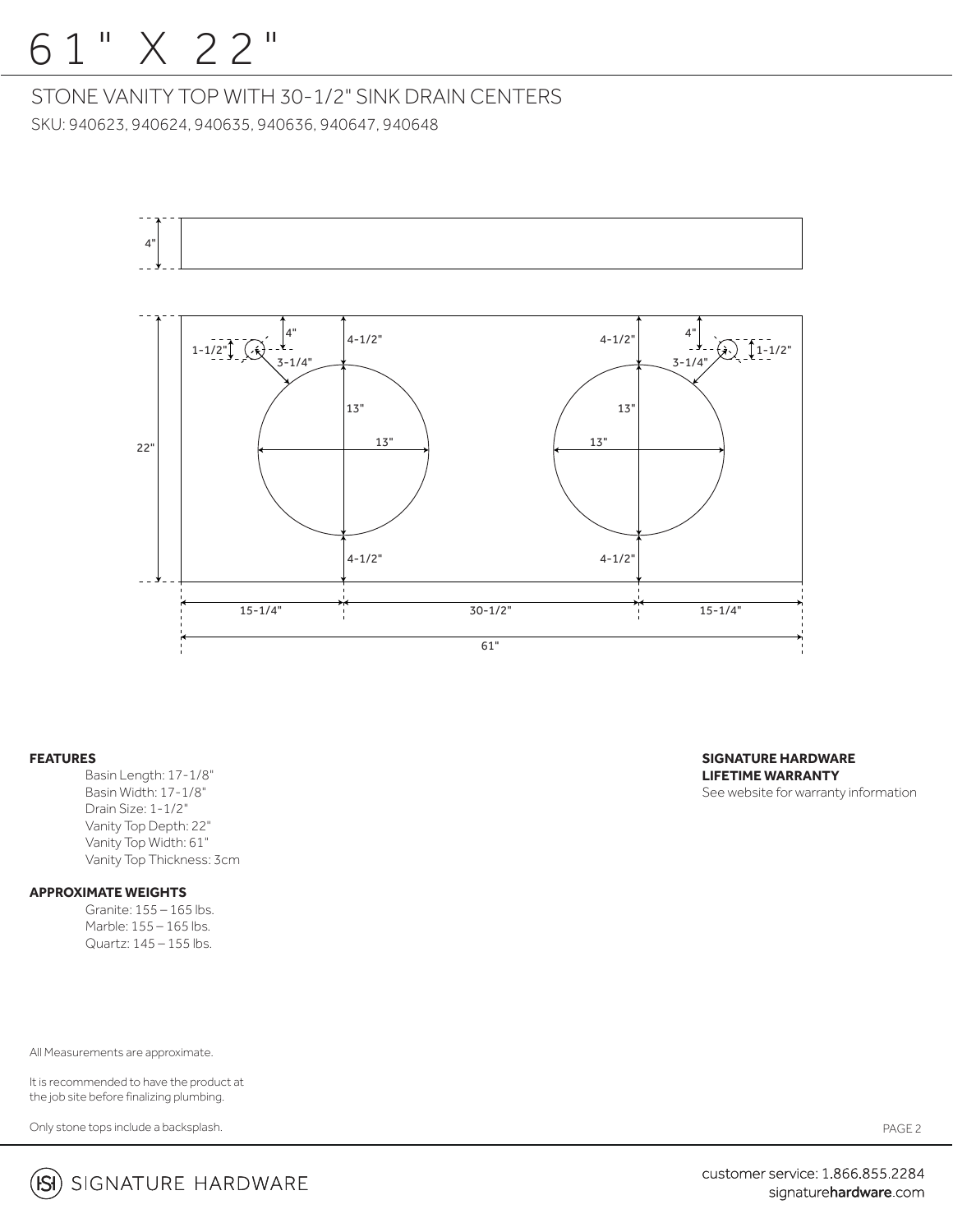## 61" X 22"

### STONE VANITY TOP WITH 30-1/2" SINK DRAIN CENTERS

SKU: 940623, 940624, 940635, 940636, 940647, 940648



#### **FEATURES**

 Basin Length: 17-1/8" Basin Width: 17-1/8" Drain Size: 1-1/2" Vanity Top Depth: 22" Vanity Top Width: 61" Vanity Top Thickness: 3cm

### **APPROXIMATE WEIGHTS**

 Granite: 155 – 165 lbs. Marble: 155 – 165 lbs.  $Quartz: 145 - 155$  lbs.

All Measurements are approximate.

It is recommended to have the product at the job site before finalizing plumbing.

Only stone tops include a backsplash.

**SIGNATURE HARDWARE LIFETIME WARRANTY** See website for warranty information

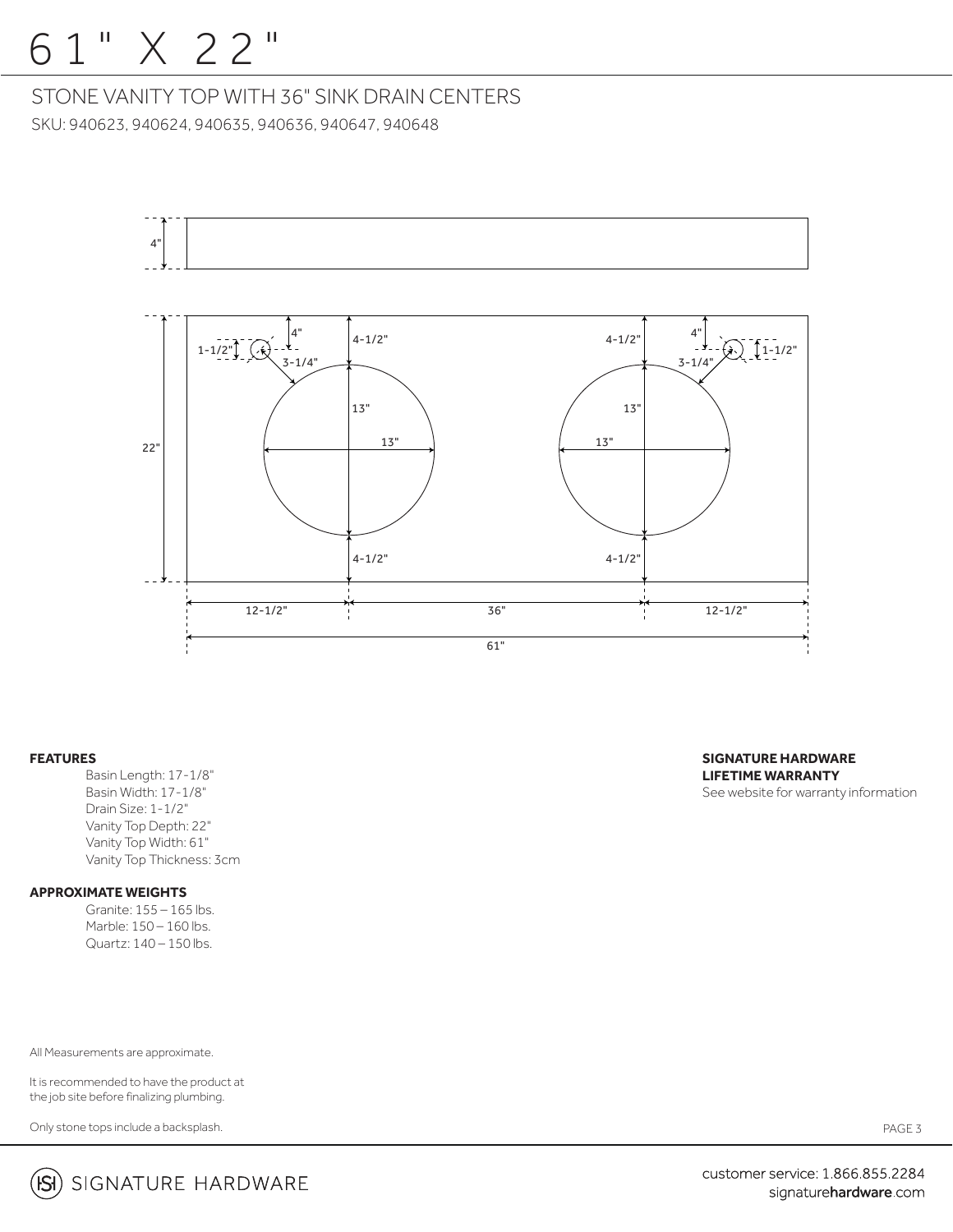## 61" X 22"

STONE VANITY TOP WITH 36" SINK DRAIN CENTERS SKU: 940623, 940624, 940635, 940636, 940647, 940648



#### **FEATURES**

 Basin Length: 17-1/8" Basin Width: 17-1/8" Drain Size: 1-1/2" Vanity Top Depth: 22" Vanity Top Width: 61" Vanity Top Thickness: 3cm

### **APPROXIMATE WEIGHTS**

 Granite: 155 – 165 lbs. Marble: 150 – 160 lbs.  $Quartz: 140-150$  lbs.

All Measurements are approximate.

It is recommended to have the product at the job site before finalizing plumbing.

Only stone tops include a backsplash.

**SIGNATURE HARDWARE LIFETIME WARRANTY** See website for warranty information